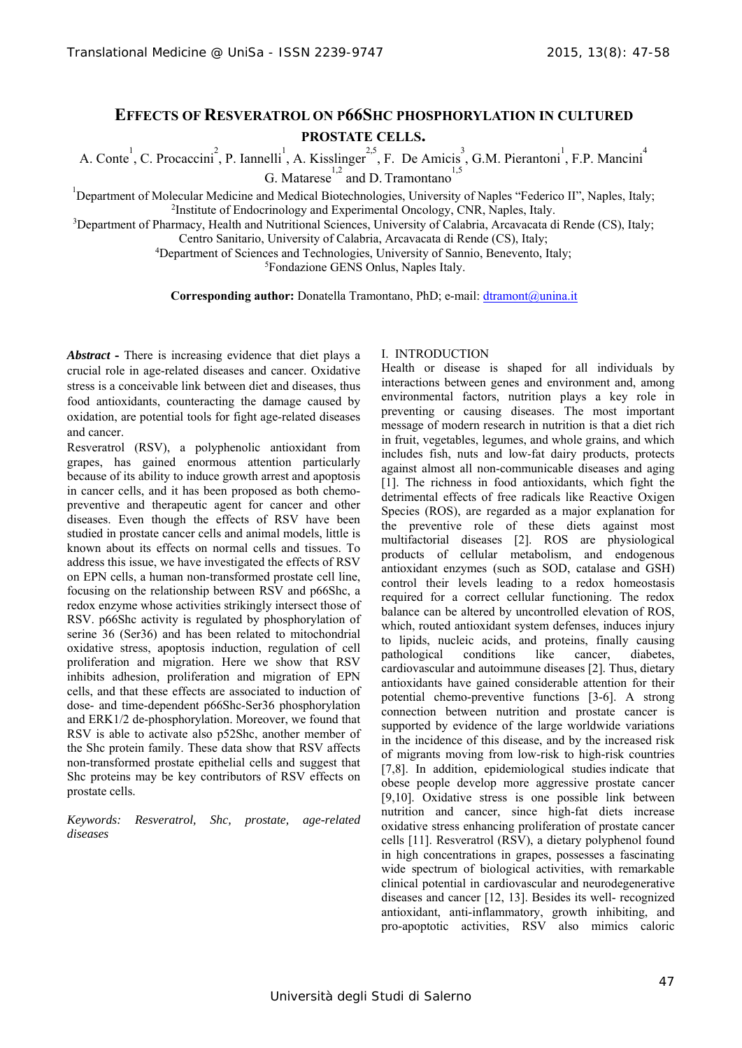# **EFFECTS OF RESVERATROL ON P66SHC PHOSPHORYLATION IN CULTURED PROSTATE CELLS.**

A. Conte<sup>1</sup>, C. Procaccini<sup>2</sup>, P. Iannelli<sup>1</sup>, A. Kisslinger<sup>2,5</sup>, F. De Amicis<sup>3</sup>, G.M. Pierantoni<sup>1</sup>, F.P. Mancini<sup>4</sup> G. Matarese<sup>1,2</sup> and D. Tramontano<sup>1,5</sup>

<sup>1</sup>Department of Molecular Medicine and Medical Biotechnologies, University of Naples "Federico II", Naples, Italy;  $\frac{2 \text{Institute of Endocrinology and Experimental Oncology CNR. Nanges.}$ <sup>2</sup>Institute of Endocrinology and Experimental Oncology, CNR, Naples, Italy.

<sup>3</sup>Department of Pharmacy, Health and Nutritional Sciences, University of Calabria, Arcavacata di Rende (CS), Italy;

Centro Sanitario, University of Calabria, Arcavacata di Rende (CS), Italy; 4

Department of Sciences and Technologies, University of Sannio, Benevento, Italy; 5

Fondazione GENS Onlus, Naples Italy.

**Corresponding author:** Donatella Tramontano, PhD; e-mail: dtramont@unina.it

*Abstract* **-** There is increasing evidence that diet plays a crucial role in age-related diseases and cancer. Oxidative stress is a conceivable link between diet and diseases, thus food antioxidants, counteracting the damage caused by oxidation, are potential tools for fight age-related diseases and cancer.

Resveratrol (RSV), a polyphenolic antioxidant from grapes, has gained enormous attention particularly because of its ability to induce growth arrest and apoptosis in cancer cells, and it has been proposed as both chemopreventive and therapeutic agent for cancer and other diseases. Even though the effects of RSV have been studied in prostate cancer cells and animal models, little is known about its effects on normal cells and tissues. To address this issue, we have investigated the effects of RSV on EPN cells, a human non-transformed prostate cell line, focusing on the relationship between RSV and p66Shc, a redox enzyme whose activities strikingly intersect those of RSV. p66Shc activity is regulated by phosphorylation of serine 36 (Ser36) and has been related to mitochondrial oxidative stress, apoptosis induction, regulation of cell proliferation and migration. Here we show that RSV inhibits adhesion, proliferation and migration of EPN cells, and that these effects are associated to induction of dose- and time-dependent p66Shc-Ser36 phosphorylation and ERK1/2 de-phosphorylation. Moreover, we found that RSV is able to activate also p52Shc, another member of the Shc protein family. These data show that RSV affects non-transformed prostate epithelial cells and suggest that Shc proteins may be key contributors of RSV effects on prostate cells.

*Keywords: Resveratrol, Shc, prostate, age-related diseases* 

### I. INTRODUCTION

Health or disease is shaped for all individuals by interactions between genes and environment and, among environmental factors, nutrition plays a key role in preventing or causing diseases. The most important message of modern research in nutrition is that a diet rich in fruit, vegetables, legumes, and whole grains, and which includes fish, nuts and low-fat dairy products, protects against almost all non-communicable diseases and aging [1]. The richness in food antioxidants, which fight the detrimental effects of free radicals like Reactive Oxigen Species (ROS), are regarded as a major explanation for the preventive role of these diets against most multifactorial diseases [2]. ROS are physiological products of cellular metabolism, and endogenous antioxidant enzymes (such as SOD, catalase and GSH) control their levels leading to a redox homeostasis required for a correct cellular functioning. The redox balance can be altered by uncontrolled elevation of ROS, which, routed antioxidant system defenses, induces injury to lipids, nucleic acids, and proteins, finally causing pathological conditions like cancer, diabetes, cardiovascular and autoimmune diseases [2]. Thus, dietary antioxidants have gained considerable attention for their potential chemo-preventive functions [3-6]. A strong connection between nutrition and prostate cancer is supported by evidence of the large worldwide variations in the incidence of this disease, and by the increased risk of migrants moving from low-risk to high-risk countries [7,8]. In addition, epidemiological studies indicate that obese people develop more aggressive prostate cancer [9,10]. Oxidative stress is one possible link between nutrition and cancer, since high-fat diets increase oxidative stress enhancing proliferation of prostate cancer cells [11]. Resveratrol (RSV), a dietary polyphenol found in high concentrations in grapes, possesses a fascinating wide spectrum of biological activities, with remarkable clinical potential in cardiovascular and neurodegenerative diseases and cancer [12, 13]. Besides its well- recognized antioxidant, anti-inflammatory, growth inhibiting, and pro-apoptotic activities, RSV also mimics caloric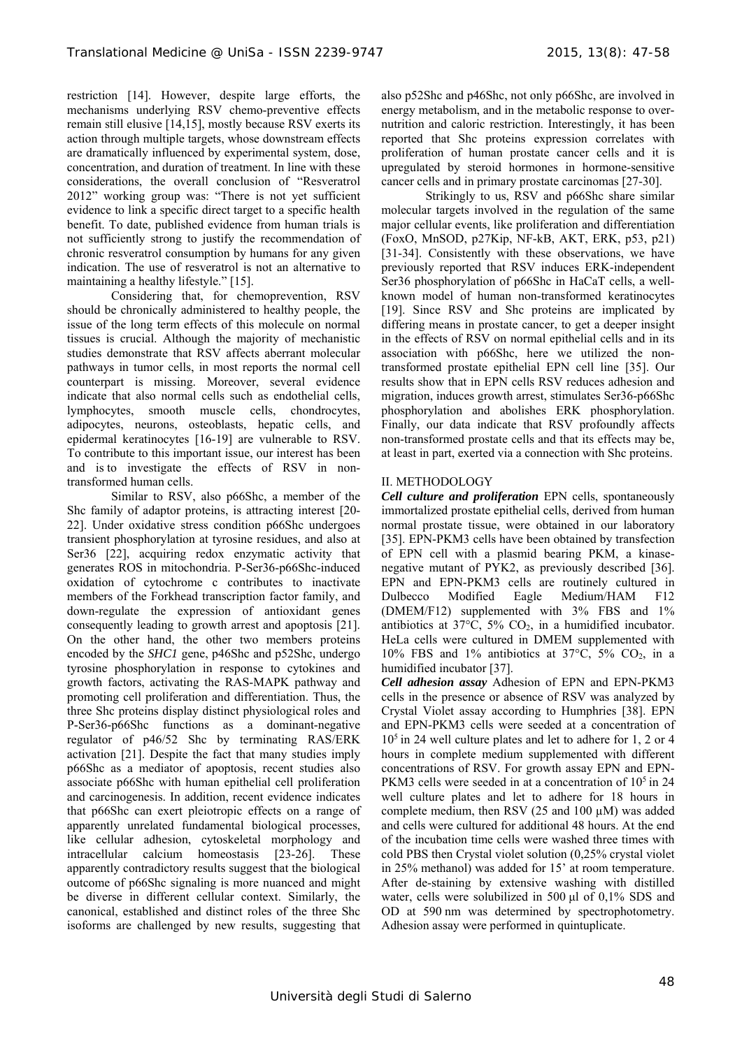restriction [14]. However, despite large efforts, the mechanisms underlying RSV chemo-preventive effects remain still elusive [14,15], mostly because RSV exerts its action through multiple targets, whose downstream effects are dramatically influenced by experimental system, dose, concentration, and duration of treatment. In line with these considerations, the overall conclusion of "Resveratrol 2012" working group was: "There is not yet sufficient evidence to link a specific direct target to a specific health benefit. To date, published evidence from human trials is not sufficiently strong to justify the recommendation of chronic resveratrol consumption by humans for any given indication. The use of resveratrol is not an alternative to maintaining a healthy lifestyle." [15].

Considering that, for chemoprevention, RSV should be chronically administered to healthy people, the issue of the long term effects of this molecule on normal tissues is crucial. Although the majority of mechanistic studies demonstrate that RSV affects aberrant molecular pathways in tumor cells, in most reports the normal cell counterpart is missing. Moreover, several evidence indicate that also normal cells such as endothelial cells, lymphocytes, smooth muscle cells, chondrocytes, adipocytes, neurons, osteoblasts, hepatic cells, and epidermal keratinocytes [16-19] are vulnerable to RSV. To contribute to this important issue, our interest has been and is to investigate the effects of RSV in nontransformed human cells.

Similar to RSV, also p66Shc, a member of the Shc family of adaptor proteins, is attracting interest [20- 22]. Under oxidative stress condition p66Shc undergoes transient phosphorylation at tyrosine residues, and also at Ser36 [22], acquiring redox enzymatic activity that generates ROS in mitochondria. P-Ser36-p66Shc-induced oxidation of cytochrome c contributes to inactivate members of the Forkhead transcription factor family, and down-regulate the expression of antioxidant genes consequently leading to growth arrest and apoptosis [21]. On the other hand, the other two members proteins encoded by the *SHC1* gene, p46Shc and p52Shc, undergo tyrosine phosphorylation in response to cytokines and growth factors, activating the RAS-MAPK pathway and promoting cell proliferation and differentiation. Thus, the three Shc proteins display distinct physiological roles and P-Ser36-p66Shc functions as a dominant-negative regulator of p46/52 Shc by terminating RAS/ERK activation [21]. Despite the fact that many studies imply p66Shc as a mediator of apoptosis, recent studies also associate p66Shc with human epithelial cell proliferation and carcinogenesis. In addition, recent evidence indicates that p66Shc can exert pleiotropic effects on a range of apparently unrelated fundamental biological processes, like cellular adhesion, cytoskeletal morphology and intracellular calcium homeostasis [23-26]. These apparently contradictory results suggest that the biological outcome of p66Shc signaling is more nuanced and might be diverse in different cellular context. Similarly, the canonical, established and distinct roles of the three Shc isoforms are challenged by new results, suggesting that also p52Shc and p46Shc, not only p66Shc, are involved in energy metabolism, and in the metabolic response to overnutrition and caloric restriction. Interestingly, it has been reported that Shc proteins expression correlates with proliferation of human prostate cancer cells and it is upregulated by steroid hormones in hormone-sensitive cancer cells and in primary prostate carcinomas [27-30].

Strikingly to us, RSV and p66Shc share similar molecular targets involved in the regulation of the same major cellular events, like proliferation and differentiation (FoxO, MnSOD, p27Kip, NF-kB, AKT, ERK, p53, p21) [31-34]. Consistently with these observations, we have previously reported that RSV induces ERK-independent Ser36 phosphorylation of p66Shc in HaCaT cells, a wellknown model of human non-transformed keratinocytes [19]. Since RSV and Shc proteins are implicated by differing means in prostate cancer, to get a deeper insight in the effects of RSV on normal epithelial cells and in its association with p66Shc, here we utilized the nontransformed prostate epithelial EPN cell line [35]. Our results show that in EPN cells RSV reduces adhesion and migration, induces growth arrest, stimulates Ser36-p66Shc phosphorylation and abolishes ERK phosphorylation. Finally, our data indicate that RSV profoundly affects non-transformed prostate cells and that its effects may be, at least in part, exerted via a connection with Shc proteins.

## II. METHODOLOGY

*Cell culture and proliferation* EPN cells, spontaneously immortalized prostate epithelial cells, derived from human normal prostate tissue, were obtained in our laboratory [35]. EPN-PKM3 cells have been obtained by transfection of EPN cell with a plasmid bearing PKM, a kinasenegative mutant of PYK2, as previously described [36]. EPN and EPN-PKM3 cells are routinely cultured in Dulbecco Modified Eagle Medium/HAM F12 (DMEM/F12) supplemented with 3% FBS and 1% antibiotics at  $37^{\circ}$ C,  $5\%$  CO<sub>2</sub>, in a humidified incubator. HeLa cells were cultured in DMEM supplemented with 10% FBS and 1% antibiotics at 37 $\degree$ C, 5% CO<sub>2</sub>, in a humidified incubator [37].

*Cell adhesion assay* Adhesion of EPN and EPN-PKM3 cells in the presence or absence of RSV was analyzed by Crystal Violet assay according to Humphries [38]. EPN and EPN-PKM3 cells were seeded at a concentration of  $10<sup>5</sup>$  in 24 well culture plates and let to adhere for 1, 2 or 4 hours in complete medium supplemented with different concentrations of RSV. For growth assay EPN and EPN-PKM3 cells were seeded in at a concentration of 10<sup>5</sup> in 24 well culture plates and let to adhere for 18 hours in complete medium, then RSV (25 and 100 µM) was added and cells were cultured for additional 48 hours. At the end of the incubation time cells were washed three times with cold PBS then Crystal violet solution (0,25% crystal violet in 25% methanol) was added for 15' at room temperature. After de-staining by extensive washing with distilled water, cells were solubilized in 500 μl of 0,1% SDS and OD at 590 nm was determined by spectrophotometry. Adhesion assay were performed in quintuplicate.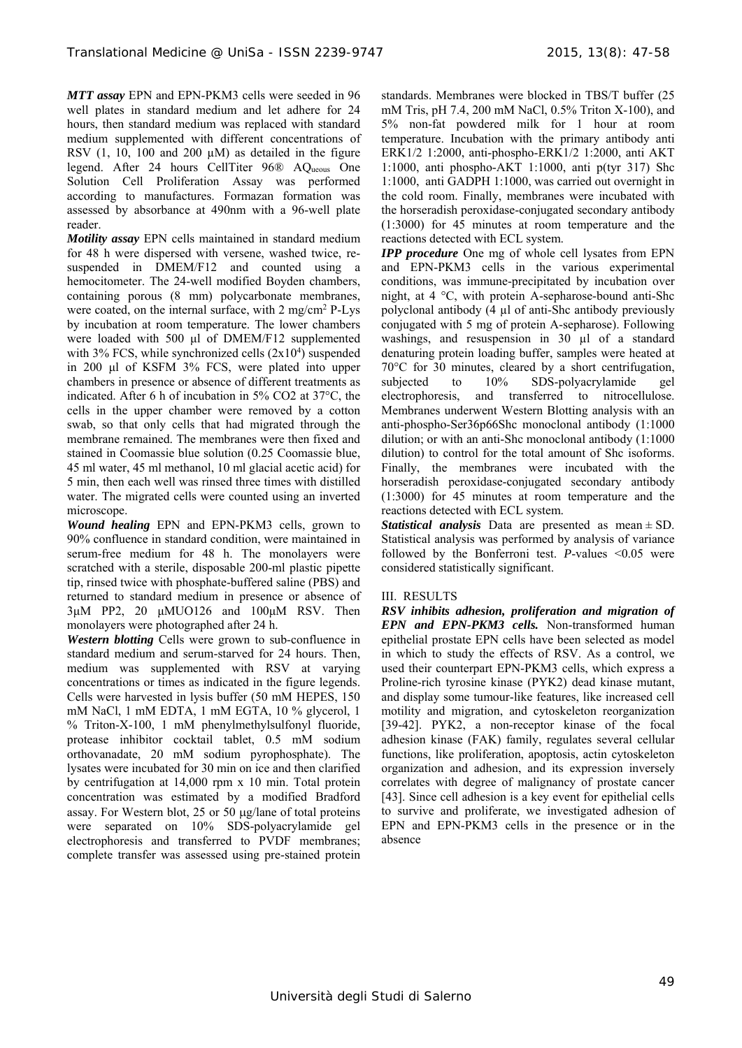*MTT assay* EPN and EPN-PKM3 cells were seeded in 96 well plates in standard medium and let adhere for 24 hours, then standard medium was replaced with standard medium supplemented with different concentrations of RSV  $(1, 10, 100, 100, 200, \mu M)$  as detailed in the figure legend. After 24 hours CellTiter 96® AQueous One Solution Cell Proliferation Assay was performed according to manufactures. Formazan formation was assessed by absorbance at 490nm with a 96-well plate reader.

*Motility assay* EPN cells maintained in standard medium for 48 h were dispersed with versene, washed twice, resuspended in DMEM/F12 and counted using a hemocitometer. The 24-well modified Boyden chambers, containing porous (8 mm) polycarbonate membranes, were coated, on the internal surface, with 2 mg/cm<sup>2</sup> P-Lys by incubation at room temperature. The lower chambers were loaded with 500 μl of DMEM/F12 supplemented with  $3\%$  FCS, while synchronized cells  $(2x10<sup>4</sup>)$  suspended in 200 μl of KSFM 3% FCS, were plated into upper chambers in presence or absence of different treatments as indicated. After 6 h of incubation in 5% CO2 at 37°C, the cells in the upper chamber were removed by a cotton swab, so that only cells that had migrated through the membrane remained. The membranes were then fixed and stained in Coomassie blue solution (0.25 Coomassie blue, 45 ml water, 45 ml methanol, 10 ml glacial acetic acid) for 5 min, then each well was rinsed three times with distilled water. The migrated cells were counted using an inverted microscope.

*Wound healing* EPN and EPN-PKM3 cells, grown to 90% confluence in standard condition, were maintained in serum-free medium for 48 h. The monolayers were scratched with a sterile, disposable 200-ml plastic pipette tip, rinsed twice with phosphate-buffered saline (PBS) and returned to standard medium in presence or absence of 3μM PP2, 20 μMUO126 and 100μM RSV. Then monolayers were photographed after 24 h.

*Western blotting* Cells were grown to sub-confluence in standard medium and serum-starved for 24 hours. Then, medium was supplemented with RSV at varying concentrations or times as indicated in the figure legends. Cells were harvested in lysis buffer (50 mM HEPES, 150 mM NaCl, 1 mM EDTA, 1 mM EGTA, 10 % glycerol, 1 % Triton-X-100, 1 mM phenylmethylsulfonyl fluoride, protease inhibitor cocktail tablet, 0.5 mM sodium orthovanadate, 20 mM sodium pyrophosphate). The lysates were incubated for 30 min on ice and then clarified by centrifugation at 14,000 rpm x 10 min. Total protein concentration was estimated by a modified Bradford assay. For Western blot,  $25$  or  $50 \mu g/l$ ane of total proteins were separated on 10% SDS-polyacrylamide gel electrophoresis and transferred to PVDF membranes; complete transfer was assessed using pre-stained protein standards. Membranes were blocked in TBS/T buffer (25 mM Tris, pH 7.4, 200 mM NaCl, 0.5% Triton X-100), and 5% non-fat powdered milk for 1 hour at room temperature. Incubation with the primary antibody anti ERK1/2 1:2000, anti-phospho-ERK1/2 1:2000, anti AKT 1:1000, anti phospho-AKT 1:1000, anti p(tyr 317) Shc 1:1000, anti GADPH 1:1000, was carried out overnight in the cold room. Finally, membranes were incubated with the horseradish peroxidase-conjugated secondary antibody (1:3000) for 45 minutes at room temperature and the reactions detected with ECL system.

*IPP procedure* One mg of whole cell lysates from EPN and EPN-PKM3 cells in the various experimental conditions, was immune-precipitated by incubation over night, at 4 °C, with protein A-sepharose-bound anti-Shc polyclonal antibody (4 µl of anti-Shc antibody previously conjugated with 5 mg of protein A-sepharose). Following washings, and resuspension in 30 µl of a standard denaturing protein loading buffer, samples were heated at 70°C for 30 minutes, cleared by a short centrifugation, subjected to 10% SDS-polyacrylamide gel electrophoresis, and transferred to nitrocellulose. Membranes underwent Western Blotting analysis with an anti-phospho-Ser36p66Shc monoclonal antibody (1:1000 dilution; or with an anti-Shc monoclonal antibody (1:1000 dilution) to control for the total amount of Shc isoforms. Finally, the membranes were incubated with the horseradish peroxidase-conjugated secondary antibody (1:3000) for 45 minutes at room temperature and the reactions detected with ECL system.

*Statistical analysis* Data are presented as mean ± SD. Statistical analysis was performed by analysis of variance followed by the Bonferroni test. *P*-values <0.05 were considered statistically significant.

### III. RESULTS

*RSV inhibits adhesion, proliferation and migration of EPN and EPN-PKM3 cells.* Non-transformed human epithelial prostate EPN cells have been selected as model in which to study the effects of RSV. As a control, we used their counterpart EPN-PKM3 cells, which express a Proline-rich tyrosine kinase (PYK2) dead kinase mutant, and display some tumour-like features, like increased cell motility and migration, and cytoskeleton reorganization [39-42]. PYK2, a non-receptor kinase of the focal adhesion kinase (FAK) family, regulates several cellular functions, like proliferation, apoptosis, actin cytoskeleton organization and adhesion, and its expression inversely correlates with degree of malignancy of prostate cancer [43]. Since cell adhesion is a key event for epithelial cells to survive and proliferate, we investigated adhesion of EPN and EPN-PKM3 cells in the presence or in the absence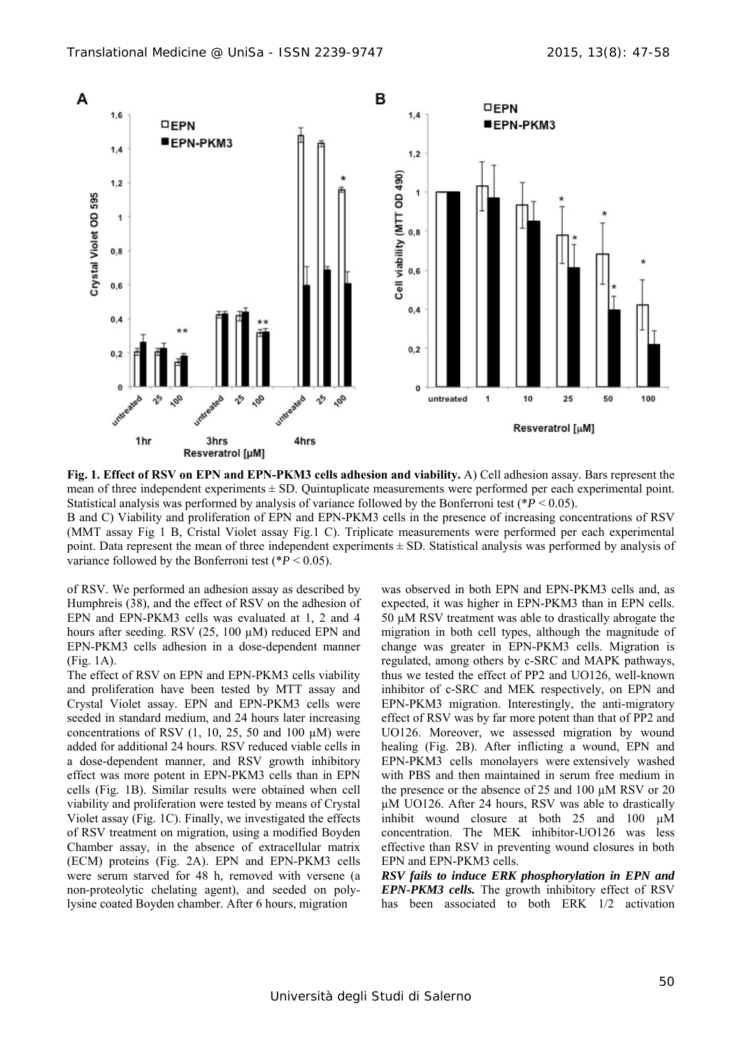

**Fig. 1. Effect of RSV on EPN and EPN-PKM3 cells adhesion and viability.** A) Cell adhesion assay. Bars represent the mean of three independent experiments  $\pm$  SD. Quintuplicate measurements were performed per each experimental point. Statistical analysis was performed by analysis of variance followed by the Bonferroni test (\**P* < 0.05). B and C) Viability and proliferation of EPN and EPN-PKM3 cells in the presence of increasing concentrations of RSV

(MMT assay Fig 1 B, Cristal Violet assay Fig.1 C). Triplicate measurements were performed per each experimental point. Data represent the mean of three independent experiments ± SD. Statistical analysis was performed by analysis of variance followed by the Bonferroni test ( $P < 0.05$ ).

of RSV. We performed an adhesion assay as described by Humphreis (38), and the effect of RSV on the adhesion of EPN and EPN-PKM3 cells was evaluated at 1, 2 and 4 hours after seeding. RSV (25, 100 µM) reduced EPN and EPN-PKM3 cells adhesion in a dose-dependent manner (Fig. 1A).

The effect of RSV on EPN and EPN-PKM3 cells viability and proliferation have been tested by MTT assay and Crystal Violet assay. EPN and EPN-PKM3 cells were seeded in standard medium, and 24 hours later increasing concentrations of RSV  $(1, 10, 25, 50, 40, 100, \mu M)$  were added for additional 24 hours. RSV reduced viable cells in a dose-dependent manner, and RSV growth inhibitory effect was more potent in EPN-PKM3 cells than in EPN cells (Fig. 1B). Similar results were obtained when cell viability and proliferation were tested by means of Crystal Violet assay (Fig. 1C). Finally, we investigated the effects of RSV treatment on migration, using a modified Boyden Chamber assay, in the absence of extracellular matrix (ECM) proteins (Fig. 2A). EPN and EPN-PKM3 cells were serum starved for 48 h, removed with versene (a non-proteolytic chelating agent), and seeded on polylysine coated Boyden chamber. After 6 hours, migration

was observed in both EPN and EPN-PKM3 cells and, as expected, it was higher in EPN-PKM3 than in EPN cells. 50 µM RSV treatment was able to drastically abrogate the migration in both cell types, although the magnitude of change was greater in EPN-PKM3 cells. Migration is regulated, among others by c-SRC and MAPK pathways, thus we tested the effect of PP2 and UO126, well-known inhibitor of c-SRC and MEK respectively, on EPN and EPN-PKM3 migration. Interestingly, the anti-migratory effect of RSV was by far more potent than that of PP2 and UO126. Moreover, we assessed migration by wound healing (Fig. 2B). After inflicting a wound, EPN and EPN-PKM3 cells monolayers were extensively washed with PBS and then maintained in serum free medium in the presence or the absence of 25 and 100 µM RSV or 20 µM UO126. After 24 hours, RSV was able to drastically inhibit wound closure at both 25 and 100 µM concentration. The MEK inhibitor-UO126 was less effective than RSV in preventing wound closures in both EPN and EPN-PKM3 cells.

*RSV fails to induce ERK phosphorylation in EPN and EPN-PKM3 cells.* The growth inhibitory effect of RSV has been associated to both ERK 1/2 activation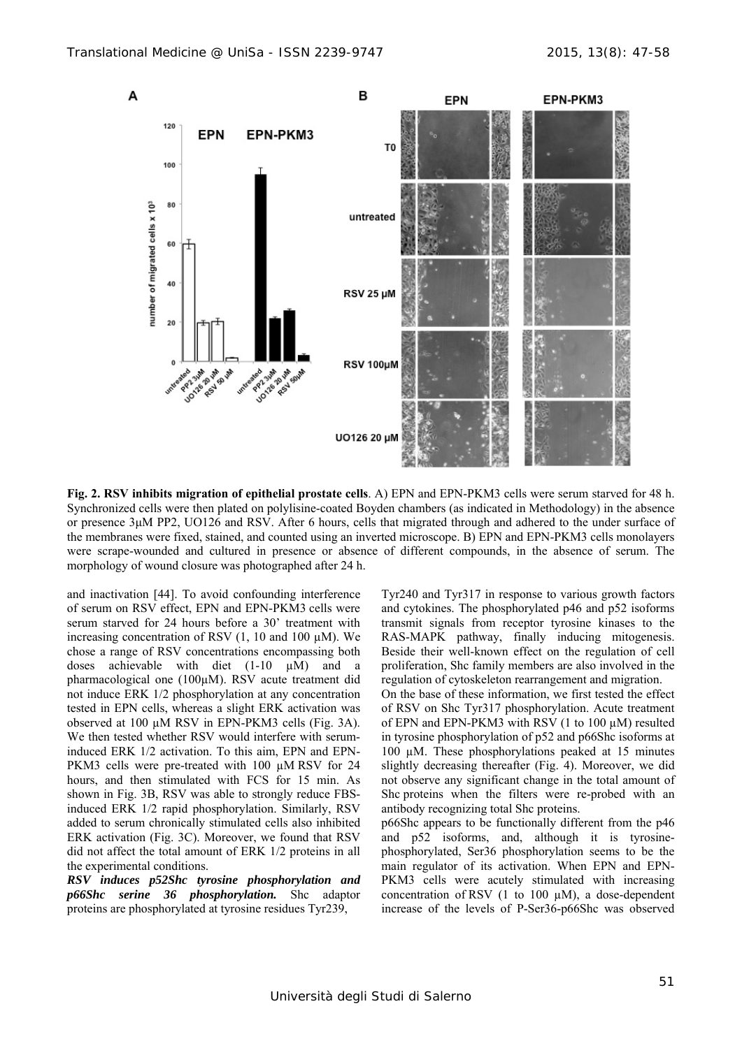

**Fig. 2. RSV inhibits migration of epithelial prostate cells**. A) EPN and EPN-PKM3 cells were serum starved for 48 h. Synchronized cells were then plated on polylisine-coated Boyden chambers (as indicated in Methodology) in the absence or presence 3μM PP2, UO126 and RSV. After 6 hours, cells that migrated through and adhered to the under surface of the membranes were fixed, stained, and counted using an inverted microscope. B) EPN and EPN-PKM3 cells monolayers were scrape-wounded and cultured in presence or absence of different compounds, in the absence of serum. The morphology of wound closure was photographed after 24 h.

and inactivation [44]. To avoid confounding interference of serum on RSV effect, EPN and EPN-PKM3 cells were serum starved for 24 hours before a 30' treatment with increasing concentration of RSV  $(1, 10 \text{ and } 100 \mu\text{M})$ . We chose a range of RSV concentrations encompassing both doses achievable with diet  $(1-10 \mu M)$  and a pharmacological one (100µM). RSV acute treatment did not induce ERK 1/2 phosphorylation at any concentration tested in EPN cells, whereas a slight ERK activation was observed at 100 µM RSV in EPN-PKM3 cells (Fig. 3A). We then tested whether RSV would interfere with seruminduced ERK 1/2 activation. To this aim, EPN and EPN-PKM3 cells were pre-treated with 100  $\mu$ M RSV for 24 hours, and then stimulated with FCS for 15 min. As shown in Fig. 3B, RSV was able to strongly reduce FBSinduced ERK 1/2 rapid phosphorylation. Similarly, RSV added to serum chronically stimulated cells also inhibited ERK activation (Fig. 3C). Moreover, we found that RSV did not affect the total amount of ERK 1/2 proteins in all the experimental conditions.

*RSV induces p52Shc tyrosine phosphorylation and p66Shc serine 36 phosphorylation.* Shc adaptor proteins are phosphorylated at tyrosine residues Tyr239,

Tyr240 and Tyr317 in response to various growth factors and cytokines. The phosphorylated p46 and p52 isoforms transmit signals from receptor tyrosine kinases to the RAS-MAPK pathway, finally inducing mitogenesis. Beside their well-known effect on the regulation of cell proliferation, Shc family members are also involved in the regulation of cytoskeleton rearrangement and migration.

On the base of these information, we first tested the effect of RSV on Shc Tyr317 phosphorylation. Acute treatment of EPN and EPN-PKM3 with RSV (1 to 100 µM) resulted in tyrosine phosphorylation of p52 and p66Shc isoforms at 100 µM. These phosphorylations peaked at 15 minutes slightly decreasing thereafter (Fig. 4). Moreover, we did not observe any significant change in the total amount of Shc proteins when the filters were re-probed with an antibody recognizing total Shc proteins.

p66Shc appears to be functionally different from the p46 and p52 isoforms, and, although it is tyrosinephosphorylated, Ser36 phosphorylation seems to be the main regulator of its activation. When EPN and EPN-PKM3 cells were acutely stimulated with increasing concentration of RSV  $(1 \text{ to } 100 \text{ µM})$ , a dose-dependent increase of the levels of P-Ser36-p66Shc was observed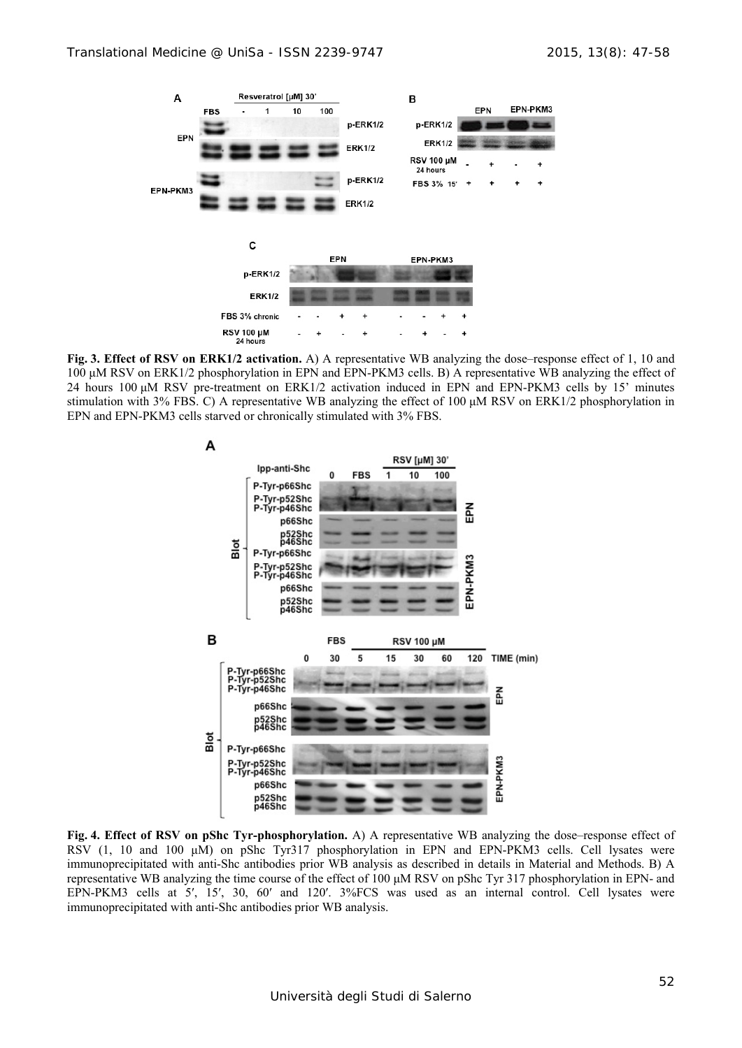

**Fig. 3. Effect of RSV on ERK1/2 activation.** A) A representative WB analyzing the dose–response effect of 1, 10 and 100 μM RSV on ERK1/2 phosphorylation in EPN and EPN-PKM3 cells. B) A representative WB analyzing the effect of 24 hours 100 μM RSV pre-treatment on ERK1/2 activation induced in EPN and EPN-PKM3 cells by 15' minutes stimulation with 3% FBS. C) A representative WB analyzing the effect of 100 μM RSV on ERK1/2 phosphorylation in EPN and EPN-PKM3 cells starved or chronically stimulated with 3% FBS.



**Fig. 4. Effect of RSV on pShc Tyr-phosphorylation.** A) A representative WB analyzing the dose–response effect of RSV (1, 10 and 100 μM) on pShc Tyr317 phosphorylation in EPN and EPN-PKM3 cells. Cell lysates were immunoprecipitated with anti-Shc antibodies prior WB analysis as described in details in Material and Methods. B) A representative WB analyzing the time course of the effect of 100 μM RSV on pShc Tyr 317 phosphorylation in EPN- and EPN-PKM3 cells at 5′, 15′, 30, 60′ and 120′. 3%FCS was used as an internal control. Cell lysates were immunoprecipitated with anti-Shc antibodies prior WB analysis.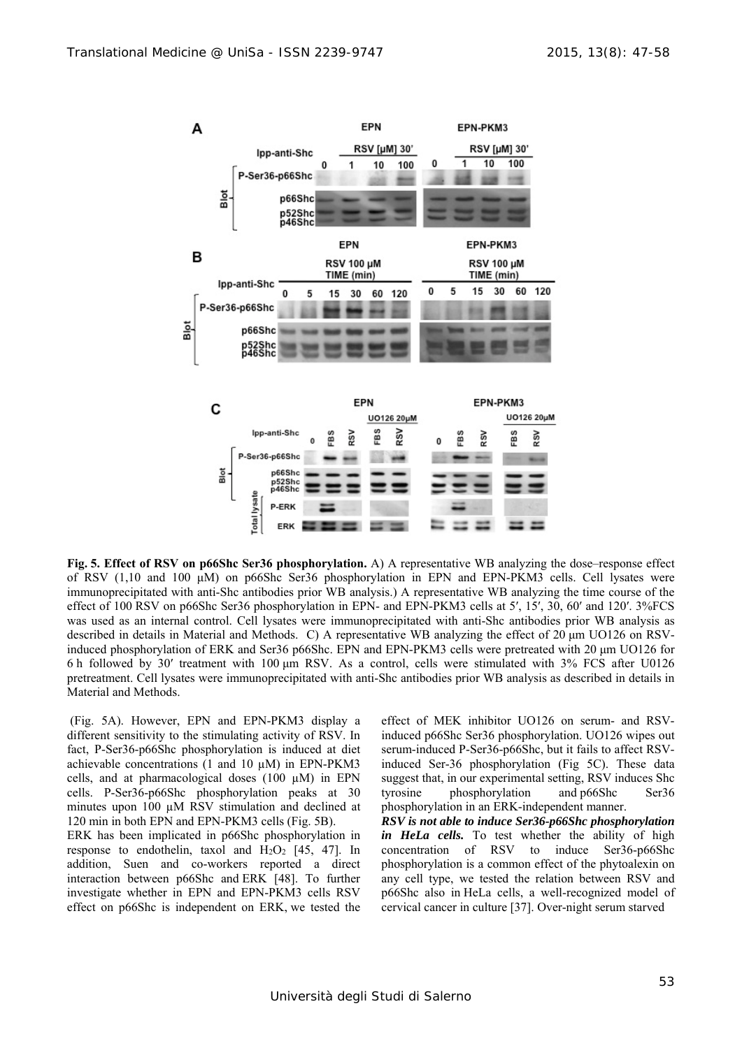

**Fig. 5. Effect of RSV on p66Shc Ser36 phosphorylation.** A) A representative WB analyzing the dose–response effect of RSV (1,10 and 100 μM) on p66Shc Ser36 phosphorylation in EPN and EPN-PKM3 cells. Cell lysates were immunoprecipitated with anti-Shc antibodies prior WB analysis.) A representative WB analyzing the time course of the effect of 100 RSV on p66Shc Ser36 phosphorylation in EPN- and EPN-PKM3 cells at 5', 15', 30, 60' and 120'. 3%FCS was used as an internal control. Cell lysates were immunoprecipitated with anti-Shc antibodies prior WB analysis as described in details in Material and Methods. C) A representative WB analyzing the effect of 20 μm UO126 on RSVinduced phosphorylation of ERK and Ser36 p66Shc. EPN and EPN-PKM3 cells were pretreated with 20 μm UO126 for 6 h followed by 30′ treatment with 100 μm RSV. As a control, cells were stimulated with 3% FCS after U0126 pretreatment. Cell lysates were immunoprecipitated with anti-Shc antibodies prior WB analysis as described in details in Material and Methods.

 (Fig. 5A). However, EPN and EPN-PKM3 display a different sensitivity to the stimulating activity of RSV. In fact, P-Ser36-p66Shc phosphorylation is induced at diet achievable concentrations (1 and 10 µM) in EPN-PKM3 cells, and at pharmacological doses (100 µM) in EPN cells. P-Ser36-p66Shc phosphorylation peaks at 30 minutes upon 100  $\mu$ M RSV stimulation and declined at 120 min in both EPN and EPN-PKM3 cells (Fig. 5B).

ERK has been implicated in p66Shc phosphorylation in response to endothelin, taxol and  $H_2O_2$  [45, 47]. In addition, Suen and co-workers reported a direct interaction between p66Shc and ERK [48]. To further investigate whether in EPN and EPN-PKM3 cells RSV effect on p66Shc is independent on ERK, we tested the

effect of MEK inhibitor UO126 on serum- and RSVinduced p66Shc Ser36 phosphorylation. UO126 wipes out serum-induced P-Ser36-p66Shc, but it fails to affect RSVinduced Ser-36 phosphorylation (Fig 5C). These data suggest that, in our experimental setting, RSV induces Shc tyrosine phosphorylation and p66Shc Ser36 phosphorylation in an ERK-independent manner.

*RSV is not able to induce Ser36-p66Shc phosphorylation*  in HeLa cells. To test whether the ability of high concentration of RSV to induce Ser36-p66Shc phosphorylation is a common effect of the phytoalexin on any cell type, we tested the relation between RSV and p66Shc also in HeLa cells, a well-recognized model of cervical cancer in culture [37]. Over-night serum starved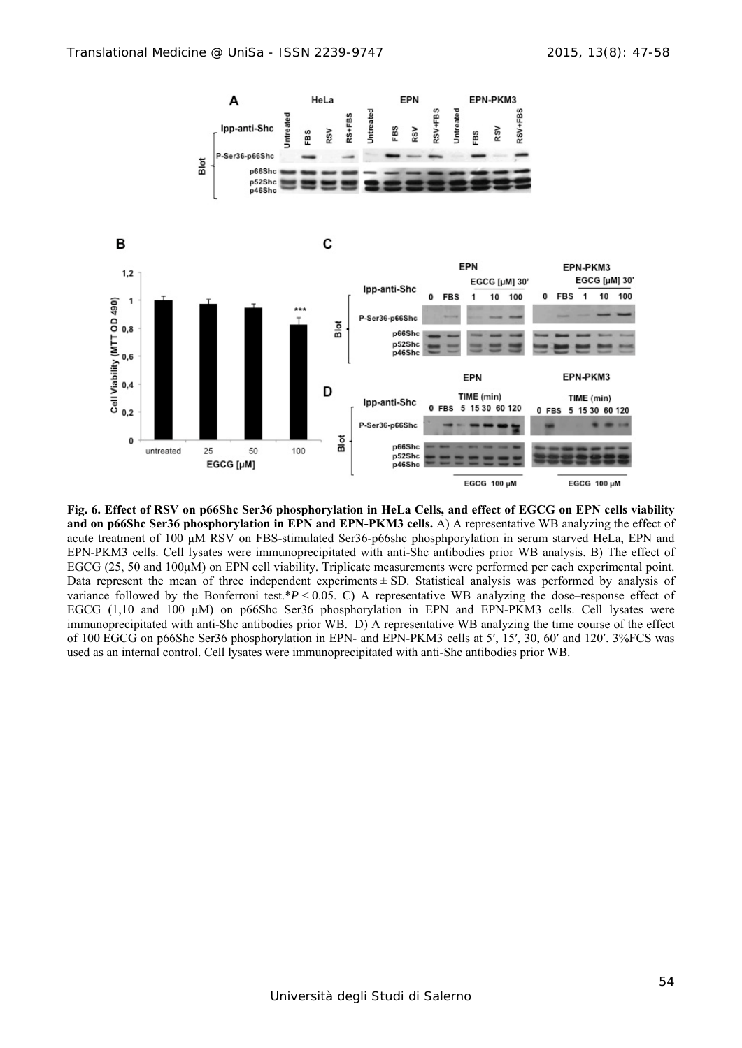

**Fig. 6. Effect of RSV on p66Shc Ser36 phosphorylation in HeLa Cells, and effect of EGCG on EPN cells viability and on p66Shc Ser36 phosphorylation in EPN and EPN-PKM3 cells.** A) A representative WB analyzing the effect of acute treatment of 100 μM RSV on FBS-stimulated Ser36-p66shc phosphporylation in serum starved HeLa, EPN and EPN-PKM3 cells. Cell lysates were immunoprecipitated with anti-Shc antibodies prior WB analysis. B) The effect of EGCG (25, 50 and 100μM) on EPN cell viability. Triplicate measurements were performed per each experimental point. Data represent the mean of three independent experiments  $\pm$  SD. Statistical analysis was performed by analysis of variance followed by the Bonferroni test.\**P* < 0.05. C) A representative WB analyzing the dose–response effect of EGCG (1,10 and 100 μM) on p66Shc Ser36 phosphorylation in EPN and EPN-PKM3 cells. Cell lysates were immunoprecipitated with anti-Shc antibodies prior WB. D) A representative WB analyzing the time course of the effect of 100 EGCG on p66Shc Ser36 phosphorylation in EPN- and EPN-PKM3 cells at 5′, 15′, 30, 60′ and 120′. 3%FCS was used as an internal control. Cell lysates were immunoprecipitated with anti-Shc antibodies prior WB.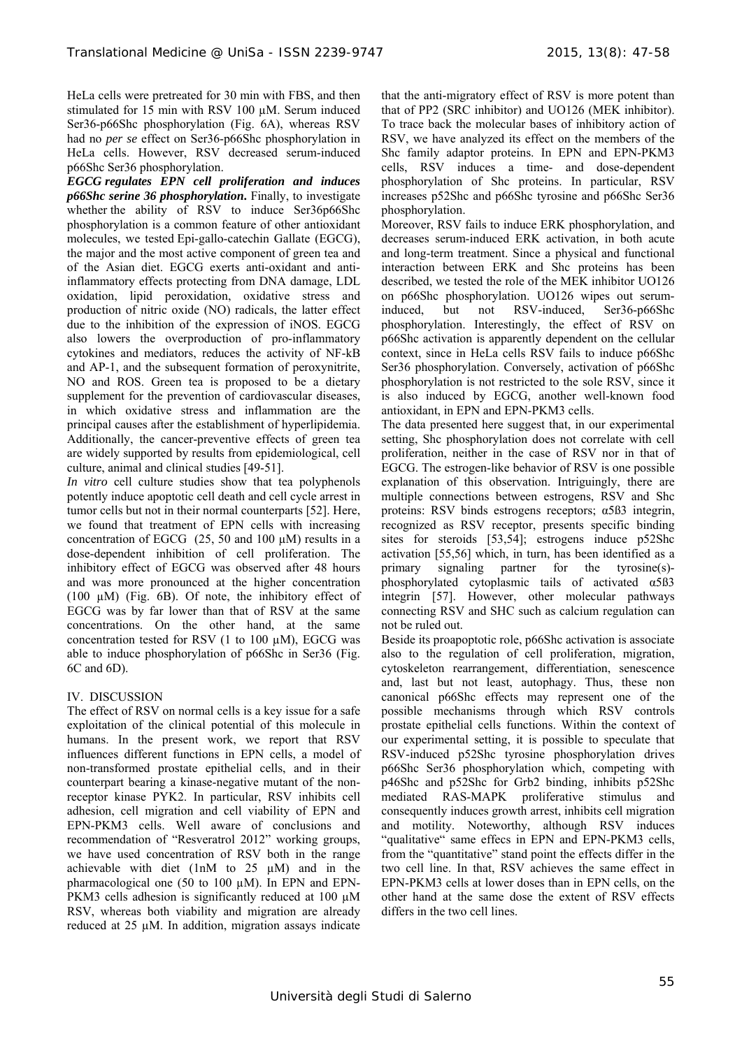HeLa cells were pretreated for 30 min with FBS, and then stimulated for 15 min with RSV 100 µM. Serum induced Ser36-p66Shc phosphorylation (Fig. 6A), whereas RSV had no *per se* effect on Ser36-p66Shc phosphorylation in HeLa cells. However, RSV decreased serum-induced p66Shc Ser36 phosphorylation.

*EGCG regulates EPN cell proliferation and induces p66Shc serine 36 phosphorylation***.** Finally, to investigate whether the ability of RSV to induce Ser36p66Shc phosphorylation is a common feature of other antioxidant molecules, we tested Epi-gallo-catechin Gallate (EGCG), the major and the most active component of green tea and of the Asian diet. EGCG exerts anti-oxidant and antiinflammatory effects protecting from DNA damage, LDL oxidation, lipid peroxidation, oxidative stress and production of nitric oxide (NO) radicals, the latter effect due to the inhibition of the expression of iNOS. EGCG also lowers the overproduction of pro-inflammatory cytokines and mediators, reduces the activity of NF-kB and AP-1, and the subsequent formation of peroxynitrite, NO and ROS. Green tea is proposed to be a dietary supplement for the prevention of cardiovascular diseases, in which oxidative stress and inflammation are the principal causes after the establishment of hyperlipidemia. Additionally, the cancer-preventive effects of green tea are widely supported by results from epidemiological, cell culture, animal and clinical studies [49-51].

*In vitro* cell culture studies show that tea polyphenols potently induce apoptotic cell death and cell cycle arrest in tumor cells but not in their normal counterparts [52]. Here, we found that treatment of EPN cells with increasing concentration of EGCG  $(25, 50 \text{ and } 100 \mu\text{M})$  results in a dose-dependent inhibition of cell proliferation. The inhibitory effect of EGCG was observed after 48 hours and was more pronounced at the higher concentration (100 µM) (Fig. 6B). Of note, the inhibitory effect of EGCG was by far lower than that of RSV at the same concentrations. On the other hand, at the same concentration tested for RSV (1 to 100 µM), EGCG was able to induce phosphorylation of p66Shc in Ser36 (Fig. 6C and 6D).

# IV. DISCUSSION

The effect of RSV on normal cells is a key issue for a safe exploitation of the clinical potential of this molecule in humans. In the present work, we report that RSV influences different functions in EPN cells, a model of non-transformed prostate epithelial cells, and in their counterpart bearing a kinase-negative mutant of the nonreceptor kinase PYK2. In particular, RSV inhibits cell adhesion, cell migration and cell viability of EPN and EPN-PKM3 cells. Well aware of conclusions and recommendation of "Resveratrol 2012" working groups, we have used concentration of RSV both in the range achievable with diet (1nM to 25 µM) and in the pharmacological one (50 to 100 µM). In EPN and EPN-PKM3 cells adhesion is significantly reduced at 100  $\mu$ M RSV, whereas both viability and migration are already reduced at 25 µM. In addition, migration assays indicate that the anti-migratory effect of RSV is more potent than that of PP2 (SRC inhibitor) and UO126 (MEK inhibitor). To trace back the molecular bases of inhibitory action of RSV, we have analyzed its effect on the members of the Shc family adaptor proteins. In EPN and EPN-PKM3 cells, RSV induces a time- and dose-dependent phosphorylation of Shc proteins. In particular, RSV increases p52Shc and p66Shc tyrosine and p66Shc Ser36 phosphorylation.

Moreover, RSV fails to induce ERK phosphorylation, and decreases serum-induced ERK activation, in both acute and long-term treatment. Since a physical and functional interaction between ERK and Shc proteins has been described, we tested the role of the MEK inhibitor UO126 on p66Shc phosphorylation. UO126 wipes out seruminduced, but not RSV-induced, Ser36-p66Shc phosphorylation. Interestingly, the effect of RSV on p66Shc activation is apparently dependent on the cellular context, since in HeLa cells RSV fails to induce p66Shc Ser36 phosphorylation. Conversely, activation of p66Shc phosphorylation is not restricted to the sole RSV, since it is also induced by EGCG, another well-known food antioxidant, in EPN and EPN-PKM3 cells.

The data presented here suggest that, in our experimental setting, Shc phosphorylation does not correlate with cell proliferation, neither in the case of RSV nor in that of EGCG. The estrogen-like behavior of RSV is one possible explanation of this observation. Intriguingly, there are multiple connections between estrogens, RSV and Shc proteins: RSV binds estrogens receptors; α5ß3 integrin, recognized as RSV receptor, presents specific binding sites for steroids [53,54]; estrogens induce p52Shc activation [55,56] which, in turn, has been identified as a primary signaling partner for the tyrosine(s) phosphorylated cytoplasmic tails of activated α5ß3 integrin [57]. However, other molecular pathways connecting RSV and SHC such as calcium regulation can not be ruled out.

Beside its proapoptotic role, p66Shc activation is associate also to the regulation of cell proliferation, migration, cytoskeleton rearrangement, differentiation, senescence and, last but not least, autophagy. Thus, these non canonical p66Shc effects may represent one of the possible mechanisms through which RSV controls prostate epithelial cells functions. Within the context of our experimental setting, it is possible to speculate that RSV-induced p52Shc tyrosine phosphorylation drives p66Shc Ser36 phosphorylation which, competing with p46Shc and p52Shc for Grb2 binding, inhibits p52Shc mediated RAS-MAPK proliferative stimulus and consequently induces growth arrest, inhibits cell migration and motility. Noteworthy, although RSV induces "qualitative" same effecs in EPN and EPN-PKM3 cells, from the "quantitative" stand point the effects differ in the two cell line. In that, RSV achieves the same effect in EPN-PKM3 cells at lower doses than in EPN cells, on the other hand at the same dose the extent of RSV effects differs in the two cell lines.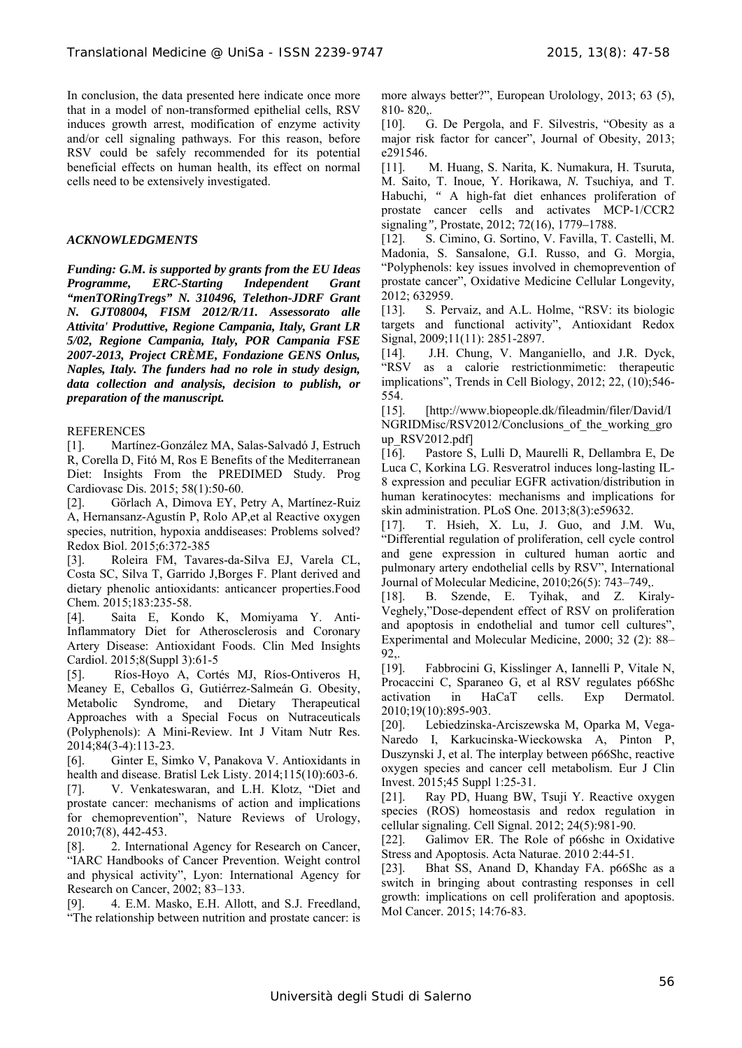In conclusion, the data presented here indicate once more that in a model of non-transformed epithelial cells, RSV induces growth arrest, modification of enzyme activity and/or cell signaling pathways. For this reason, before RSV could be safely recommended for its potential beneficial effects on human health, its effect on normal cells need to be extensively investigated.

#### *ACKNOWLEDGMENTS*

*Funding: G.M. is supported by grants from the EU Ideas Programme, ERC-Starting Independent Grant "menTORingTregs" N. 310496, Telethon-JDRF Grant N. GJT08004, FISM 2012/R/11. Assessorato alle Attivita' Produttive, Regione Campania, Italy, Grant LR 5/02, Regione Campania, Italy, POR Campania FSE 2007-2013, Project CRÈME, Fondazione GENS Onlus, Naples, Italy. The funders had no role in study design, data collection and analysis, decision to publish, or preparation of the manuscript.* 

#### **REFERENCES**

[1]. Martínez-González MA, Salas-Salvadó J, Estruch R, Corella D, Fitó M, Ros E Benefits of the Mediterranean Diet: Insights From the PREDIMED Study. Prog Cardiovasc Dis. 2015; 58(1):50-60.

[2]. Görlach A, Dimova EY, Petry A, Martínez-Ruiz A, Hernansanz-Agustín P, Rolo AP,et al Reactive oxygen species, nutrition, hypoxia anddiseases: Problems solved? Redox Biol. 2015;6:372-385

[3]. Roleira FM, Tavares-da-Silva EJ, Varela CL, Costa SC, Silva T, Garrido J,Borges F. Plant derived and dietary phenolic antioxidants: anticancer properties.Food Chem. 2015;183:235-58.

[4]. Saita E, Kondo K, Momiyama Y. Anti-Inflammatory Diet for Atherosclerosis and Coronary Artery Disease: Antioxidant Foods. Clin Med Insights Cardiol. 2015;8(Suppl 3):61-5

[5]. Ríos-Hoyo A, Cortés MJ, Ríos-Ontiveros H, Meaney E, Ceballos G, Gutiérrez-Salmeán G. Obesity, Metabolic Syndrome, and Dietary Therapeutical Approaches with a Special Focus on Nutraceuticals (Polyphenols): A Mini-Review. Int J Vitam Nutr Res. 2014;84(3-4):113-23.

[6]. Ginter E, Simko V, Panakova V. Antioxidants in health and disease. Bratisl Lek Listy. 2014;115(10):603-6.

[7]. V. Venkateswaran, and L.H. Klotz, "Diet and prostate cancer: mechanisms of action and implications for chemoprevention", Nature Reviews of Urology, 2010;7(8), 442-453.

[8]. 2. International Agency for Research on Cancer, "IARC Handbooks of Cancer Prevention. Weight control and physical activity", Lyon: International Agency for Research on Cancer, 2002; 83–133.

[9]. 4. E.M. Masko, E.H. Allott, and S.J. Freedland, "The relationship between nutrition and prostate cancer: is more always better?", European Urolology, 2013; 63 (5), 810- 820,.

[10]. G. De Pergola, and F. Silvestris, "Obesity as a major risk factor for cancer", Journal of Obesity, 2013; e291546.

[11]. M. Huang, S. Narita*,* K. Numakura*,* H. Tsuruta*,*  M. Saito*,* T. Inoue*,* Y. Horikawa*, N.* Tsuchiya*,* and T. Habuchi*, "* A high-fat diet enhances proliferation of prostate cancer cells and activates MCP-1/CCR2 signaling*",* Prostate, 2012; 72(16), 1779*–*1788.

[12]. S. Cimino, G. Sortino, V. Favilla, T. Castelli, M. Madonia, S. Sansalone, G.I. Russo, and G. Morgia, "Polyphenols: key issues involved in chemoprevention of prostate cancer", Oxidative Medicine Cellular Longevity*,*  2012; 632959.

[13]. S. Pervaiz, and A.L. Holme, "RSV: its biologic targets and functional activity", Antioxidant Redox Signal, 2009;11(11): 2851-2897.

[14]. J.H. Chung, V. Manganiello, and J.R. Dyck, "RSV as a calorie restrictionmimetic: therapeutic implications", Trends in Cell Biology, 2012; 22, (10);546- 554.

[15]. [http://www.biopeople.dk/fileadmin/filer/David/I NGRIDMisc/RSV2012/Conclusions of the working gro up $RSV2012.pdf$ 

[16]. Pastore S, Lulli D, Maurelli R, Dellambra E, De Luca C, Korkina LG. Resveratrol induces long-lasting IL-8 expression and peculiar EGFR activation/distribution in human keratinocytes: mechanisms and implications for skin administration. PLoS One. 2013;8(3):e59632.

[17]. T. Hsieh, X. Lu, J. Guo, and J.M. Wu, "Differential regulation of proliferation, cell cycle control and gene expression in cultured human aortic and pulmonary artery endothelial cells by RSV", International Journal of Molecular Medicine, 2010;26(5): 743–749,.

[18]. B. Szende, E. Tyihak, and Z. Kiraly-Veghely,"Dose-dependent effect of RSV on proliferation and apoptosis in endothelial and tumor cell cultures", Experimental and Molecular Medicine, 2000; 32 (2): 88– 92,.

[19]. Fabbrocini G, Kisslinger A, Iannelli P, Vitale N, Procaccini C, Sparaneo G, et al RSV regulates p66Shc activation in HaCaT cells. Exp Dermatol. 2010;19(10):895-903.

[20]. Lebiedzinska-Arciszewska M, Oparka M, Vega-Naredo I, Karkucinska-Wieckowska A, Pinton P, Duszynski J, et al. The interplay between p66Shc, reactive oxygen species and cancer cell metabolism. Eur J Clin Invest. 2015;45 Suppl 1:25-31.

[21]. Ray PD, Huang BW, Tsuji Y. Reactive oxygen species (ROS) homeostasis and redox regulation in cellular signaling. Cell Signal. 2012; 24(5):981-90.

[22]. Galimov ER. The Role of p66shc in Oxidative Stress and Apoptosis. Acta Naturae. 2010 2:44-51.

[23]. Bhat SS, Anand D, Khanday FA. p66Shc as a switch in bringing about contrasting responses in cell growth: implications on cell proliferation and apoptosis. Mol Cancer. 2015; 14:76-83.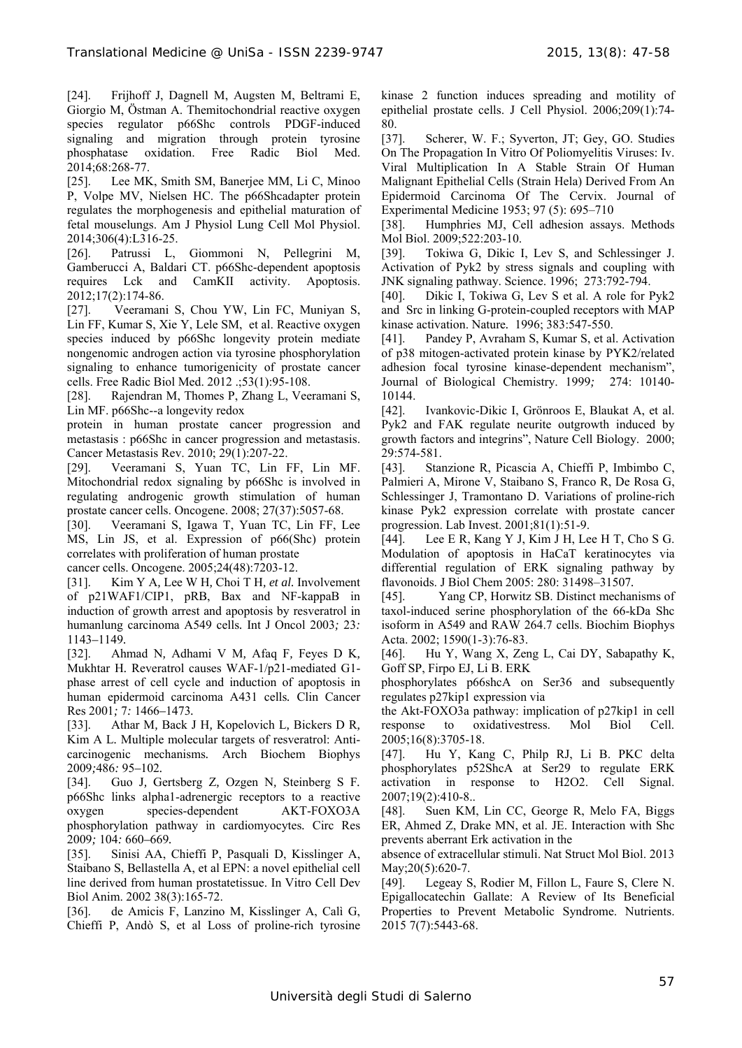[24]. Frijhoff J, Dagnell M, Augsten M, Beltrami E, Giorgio M, Östman A. Themitochondrial reactive oxygen species regulator p66Shc controls PDGF-induced signaling and migration through protein tyrosine phosphatase oxidation. Free Radic Biol Med. 2014;68:268-77.

[25]. Lee MK, Smith SM, Banerjee MM, Li C, Minoo P, Volpe MV, Nielsen HC. The p66Shcadapter protein regulates the morphogenesis and epithelial maturation of fetal mouselungs. Am J Physiol Lung Cell Mol Physiol. 2014;306(4):L316-25.

[26]. Patrussi L, Giommoni N, Pellegrini M, Gamberucci A, Baldari CT. p66Shc-dependent apoptosis requires Lck and CamKII activity. Apoptosis. 2012;17(2):174-86.

[27]. Veeramani S, Chou YW, Lin FC, Muniyan S, Lin FF, Kumar S, Xie Y, Lele SM, et al. Reactive oxygen species induced by p66Shc longevity protein mediate nongenomic androgen action via tyrosine phosphorylation signaling to enhance tumorigenicity of prostate cancer cells. Free Radic Biol Med. 2012 .;53(1):95-108.

[28]. Rajendran M, Thomes P, Zhang L, Veeramani S, Lin MF. p66Shc--a longevity redox

protein in human prostate cancer progression and metastasis : p66Shc in cancer progression and metastasis. Cancer Metastasis Rev. 2010; 29(1):207-22.

[29]. Veeramani S, Yuan TC, Lin FF, Lin MF. Mitochondrial redox signaling by p66Shc is involved in regulating androgenic growth stimulation of human prostate cancer cells. Oncogene. 2008; 27(37):5057-68.

[30]. Veeramani S, Igawa T, Yuan TC, Lin FF, Lee MS, Lin JS, et al. Expression of p66(Shc) protein correlates with proliferation of human prostate

cancer cells. Oncogene. 2005;24(48):7203-12.

[31]. Kim Y A*,* Lee W H*,* Choi T H*, et al.* Involvement of p21WAF1/CIP1, pRB, Bax and NF-kappaB in induction of growth arrest and apoptosis by resveratrol in humanlung carcinoma A549 cells*.* Int J Oncol 2003*;* 23*:*  1143*–*1149*.* 

[32]. Ahmad N*,* Adhami V M*,* Afaq F*,* Feyes D K*,*  Mukhtar H*.* Reveratrol causes WAF-1/p21-mediated G1 phase arrest of cell cycle and induction of apoptosis in human epidermoid carcinoma A431 cells*.* Clin Cancer Res 2001*;* 7*:* 1466*–*1473*.* 

[33]. Athar M*,* Back J H*,* Kopelovich L*,* Bickers D R*,*  Kim A L*.* Multiple molecular targets of resveratrol: Anticarcinogenic mechanisms*.* Arch Biochem Biophys 2009*;*486*:* 95*–*102*.*

[34]. Guo J*,* Gertsberg Z*,* Ozgen N*,* Steinberg S F*.*  p66Shc links alpha1-adrenergic receptors to a reactive oxygen species-dependent AKT-FOXO3A phosphorylation pathway in cardiomyocytes*.* Circ Res 2009*;* 104*:* 660*–*669*.*

[35]. Sinisi AA, Chieffi P, Pasquali D, Kisslinger A, Staibano S, Bellastella A, et al EPN: a novel epithelial cell line derived from human prostatetissue. In Vitro Cell Dev Biol Anim. 2002 38(3):165-72.

[36]. de Amicis F, Lanzino M, Kisslinger A, Calì G, Chieffi P, Andò S, et al Loss of proline-rich tyrosine kinase 2 function induces spreading and motility of epithelial prostate cells. J Cell Physiol. 2006;209(1):74- 80.

[37]. Scherer, W. F.; Syverton, JT; Gey, GO. Studies On The Propagation In Vitro Of Poliomyelitis Viruses: Iv. Viral Multiplication In A Stable Strain Of Human Malignant Epithelial Cells (Strain Hela) Derived From An Epidermoid Carcinoma Of The Cervix. Journal of Experimental Medicine 1953; 97 (5): 695–710

[38]. Humphries MJ, Cell adhesion assays. Methods Mol Biol. 2009;522:203-10.

[39]. Tokiwa G, Dikic I, Lev S, and Schlessinger J. Activation of Pyk2 by stress signals and coupling with JNK signaling pathway. Science. 1996; 273:792-794.

[40]. Dikic I, Tokiwa G, Lev S et al. A role for Pyk2 and Src in linking G-protein-coupled receptors with MAP kinase activation. Nature*.* 1996; 383:547-550.

[41]. Pandey P, Avraham S, Kumar S, et al. Activation of p38 mitogen-activated protein kinase by PYK2/related adhesion focal tyrosine kinase-dependent mechanism", Journal of Biological Chemistry. 1999*;* 274: 10140- 10144.

[42]. Ivankovic-Dikic I, Grönroos E, Blaukat A, et al. Pyk2 and FAK regulate neurite outgrowth induced by growth factors and integrins", Nature Cell Biology. 2000; 29:574-581.

[43]. Stanzione R, Picascia A, Chieffi P, Imbimbo C, Palmieri A, Mirone V, Staibano S, Franco R, De Rosa G, Schlessinger J, Tramontano D. Variations of proline-rich kinase Pyk2 expression correlate with prostate cancer progression. Lab Invest. 2001;81(1):51-9.

[44]. Lee E R, Kang Y J, Kim J H, Lee H T, Cho S G. Modulation of apoptosis in HaCaT keratinocytes via differential regulation of ERK signaling pathway by flavonoids. J Biol Chem 2005: 280: 31498–31507*.*

[45]. Yang CP, Horwitz SB. Distinct mechanisms of taxol-induced serine phosphorylation of the 66-kDa Shc isoform in A549 and RAW 264.7 cells. Biochim Biophys Acta. 2002; 1590(1-3):76-83.

[46]. Hu Y, Wang X, Zeng L, Cai DY, Sabapathy K, Goff SP, Firpo EJ, Li B. ERK

phosphorylates p66shcA on Ser36 and subsequently regulates p27kip1 expression via

the Akt-FOXO3a pathway: implication of p27kip1 in cell response to oxidativestress. Mol Biol Cell. 2005;16(8):3705-18.

[47]. Hu Y, Kang C, Philp RJ, Li B. PKC delta phosphorylates p52ShcA at Ser29 to regulate ERK activation in response to H2O2. Cell Signal. 2007;19(2):410-8..

[48]. Suen KM, Lin CC, George R, Melo FA, Biggs ER, Ahmed Z, Drake MN, et al. JE. Interaction with Shc prevents aberrant Erk activation in the

absence of extracellular stimuli. Nat Struct Mol Biol. 2013 May; 20(5): 620-7.

[49]. Legeay S, Rodier M, Fillon L, Faure S, Clere N. Epigallocatechin Gallate: A Review of Its Beneficial Properties to Prevent Metabolic Syndrome. Nutrients. 2015 7(7):5443-68.